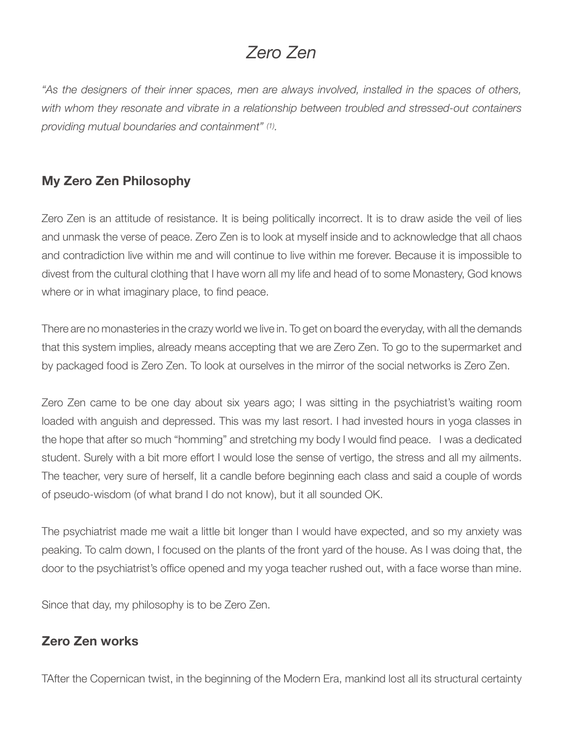## *Zero Zen*

*"As the designers of their inner spaces, men are always involved, installed in the spaces of others, with whom they resonate and vibrate in a relationship between troubled and stressed-out containers providing mutual boundaries and containment" (1).* 

## **My Zero Zen Philosophy**

Zero Zen is an attitude of resistance. It is being politically incorrect. It is to draw aside the veil of lies and unmask the verse of peace. Zero Zen is to look at myself inside and to acknowledge that all chaos and contradiction live within me and will continue to live within me forever. Because it is impossible to divest from the cultural clothing that I have worn all my life and head of to some Monastery, God knows where or in what imaginary place, to find peace.

There are no monasteries in the crazy world we live in. To get on board the everyday, with all the demands that this system implies, already means accepting that we are Zero Zen. To go to the supermarket and by packaged food is Zero Zen. To look at ourselves in the mirror of the social networks is Zero Zen.

Zero Zen came to be one day about six years ago; I was sitting in the psychiatrist's waiting room loaded with anguish and depressed. This was my last resort. I had invested hours in yoga classes in the hope that after so much "homming" and stretching my body I would find peace. I was a dedicated student. Surely with a bit more effort I would lose the sense of vertigo, the stress and all my ailments. The teacher, very sure of herself, lit a candle before beginning each class and said a couple of words of pseudo-wisdom (of what brand I do not know), but it all sounded OK.

The psychiatrist made me wait a little bit longer than I would have expected, and so my anxiety was peaking. To calm down, I focused on the plants of the front yard of the house. As I was doing that, the door to the psychiatrist's office opened and my yoga teacher rushed out, with a face worse than mine.

Since that day, my philosophy is to be Zero Zen.

## **Zero Zen works**

TAfter the Copernican twist, in the beginning of the Modern Era, mankind lost all its structural certainty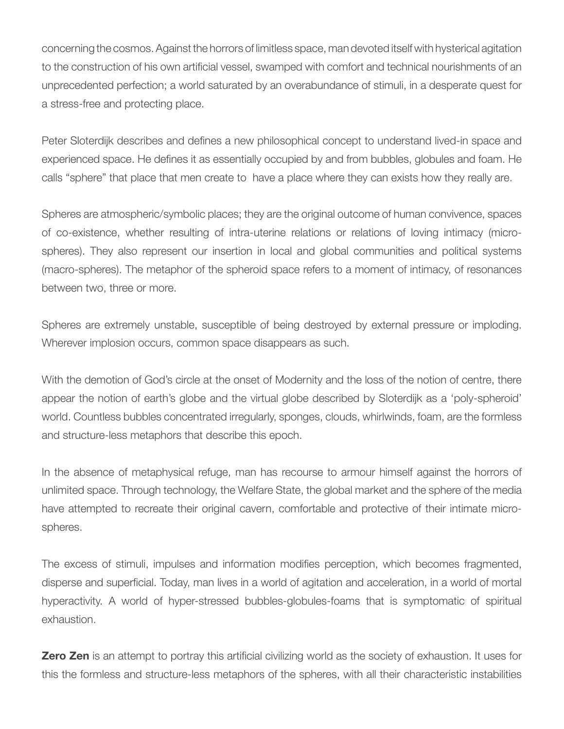concerning the cosmos. Against the horrors of limitless space, man devoted itself with hysterical agitation to the construction of his own artificial vessel, swamped with comfort and technical nourishments of an unprecedented perfection; a world saturated by an overabundance of stimuli, in a desperate quest for a stress-free and protecting place.

Peter Sloterdijk describes and defines a new philosophical concept to understand lived-in space and experienced space. He defines it as essentially occupied by and from bubbles, globules and foam. He calls "sphere" that place that men create to have a place where they can exists how they really are.

Spheres are atmospheric/symbolic places; they are the original outcome of human convivence, spaces of co-existence, whether resulting of intra-uterine relations or relations of loving intimacy (microspheres). They also represent our insertion in local and global communities and political systems (macro-spheres). The metaphor of the spheroid space refers to a moment of intimacy, of resonances between two, three or more.

Spheres are extremely unstable, susceptible of being destroyed by external pressure or imploding. Wherever implosion occurs, common space disappears as such.

With the demotion of God's circle at the onset of Modernity and the loss of the notion of centre, there appear the notion of earth's globe and the virtual globe described by Sloterdijk as a 'poly-spheroid' world. Countless bubbles concentrated irregularly, sponges, clouds, whirlwinds, foam, are the formless and structure-less metaphors that describe this epoch.

In the absence of metaphysical refuge, man has recourse to armour himself against the horrors of unlimited space. Through technology, the Welfare State, the global market and the sphere of the media have attempted to recreate their original cavern, comfortable and protective of their intimate microspheres.

The excess of stimuli, impulses and information modifies perception, which becomes fragmented, disperse and superficial. Today, man lives in a world of agitation and acceleration, in a world of mortal hyperactivity. A world of hyper-stressed bubbles-globules-foams that is symptomatic of spiritual exhaustion.

**Zero Zen** is an attempt to portray this artificial civilizing world as the society of exhaustion. It uses for this the formless and structure-less metaphors of the spheres, with all their characteristic instabilities